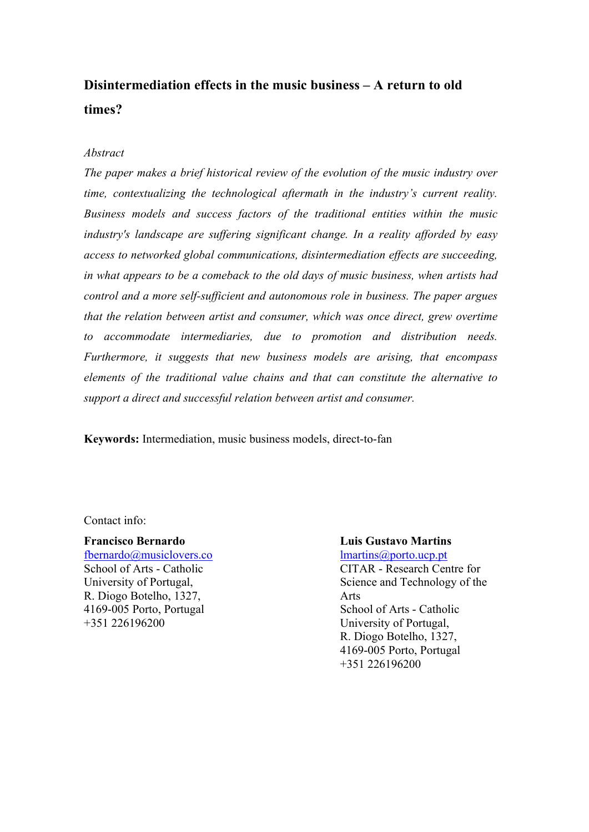# **Disintermediation effects in the music business – A return to old times?**

### *Abstract*

*The paper makes a brief historical review of the evolution of the music industry over time, contextualizing the technological aftermath in the industry's current reality. Business models and success factors of the traditional entities within the music industry's landscape are suffering significant change. In a reality afforded by easy access to networked global communications, disintermediation effects are succeeding, in what appears to be a comeback to the old days of music business, when artists had control and a more self-sufficient and autonomous role in business. The paper argues that the relation between artist and consumer, which was once direct, grew overtime to accommodate intermediaries, due to promotion and distribution needs. Furthermore, it suggests that new business models are arising, that encompass elements of the traditional value chains and that can constitute the alternative to support a direct and successful relation between artist and consumer.*

**Keywords:** Intermediation, music business models, direct-to-fan

Contact info:

#### **Francisco Bernardo**

fbernardo@musiclovers.co School of Arts - Catholic University of Portugal, R. Diogo Botelho, 1327, 4169-005 Porto, Portugal +351 226196200

#### **Luis Gustavo Martins** lmartins@porto.ucp.pt

CITAR - Research Centre for Science and Technology of the Arts School of Arts - Catholic University of Portugal, R. Diogo Botelho, 1327, 4169-005 Porto, Portugal +351 226196200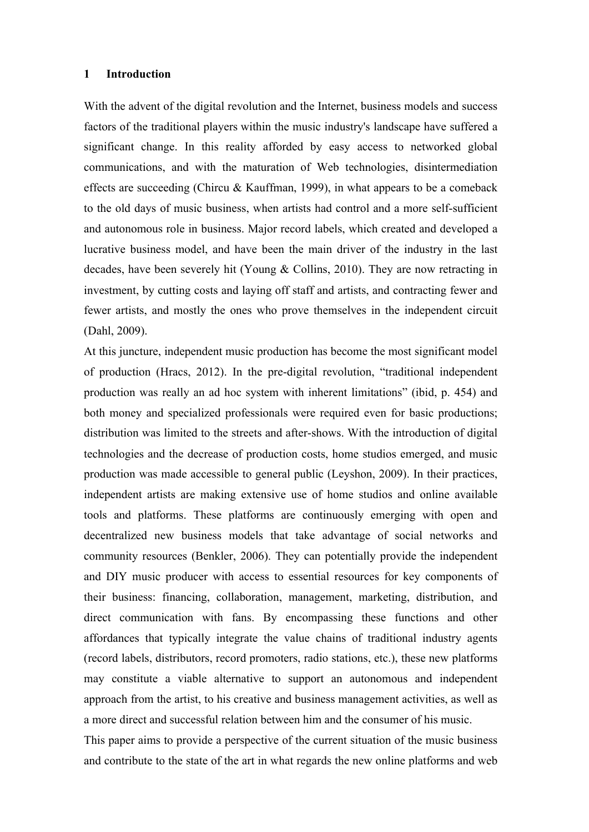# **1 Introduction**

With the advent of the digital revolution and the Internet, business models and success factors of the traditional players within the music industry's landscape have suffered a significant change. In this reality afforded by easy access to networked global communications, and with the maturation of Web technologies, disintermediation effects are succeeding (Chircu & Kauffman, 1999), in what appears to be a comeback to the old days of music business, when artists had control and a more self-sufficient and autonomous role in business. Major record labels, which created and developed a lucrative business model, and have been the main driver of the industry in the last decades, have been severely hit (Young & Collins, 2010). They are now retracting in investment, by cutting costs and laying off staff and artists, and contracting fewer and fewer artists, and mostly the ones who prove themselves in the independent circuit (Dahl, 2009).

At this juncture, independent music production has become the most significant model of production (Hracs, 2012). In the pre-digital revolution, "traditional independent production was really an ad hoc system with inherent limitations" (ibid, p. 454) and both money and specialized professionals were required even for basic productions; distribution was limited to the streets and after-shows. With the introduction of digital technologies and the decrease of production costs, home studios emerged, and music production was made accessible to general public (Leyshon, 2009). In their practices, independent artists are making extensive use of home studios and online available tools and platforms. These platforms are continuously emerging with open and decentralized new business models that take advantage of social networks and community resources (Benkler, 2006). They can potentially provide the independent and DIY music producer with access to essential resources for key components of their business: financing, collaboration, management, marketing, distribution, and direct communication with fans. By encompassing these functions and other affordances that typically integrate the value chains of traditional industry agents (record labels, distributors, record promoters, radio stations, etc.), these new platforms may constitute a viable alternative to support an autonomous and independent approach from the artist, to his creative and business management activities, as well as a more direct and successful relation between him and the consumer of his music.

This paper aims to provide a perspective of the current situation of the music business and contribute to the state of the art in what regards the new online platforms and web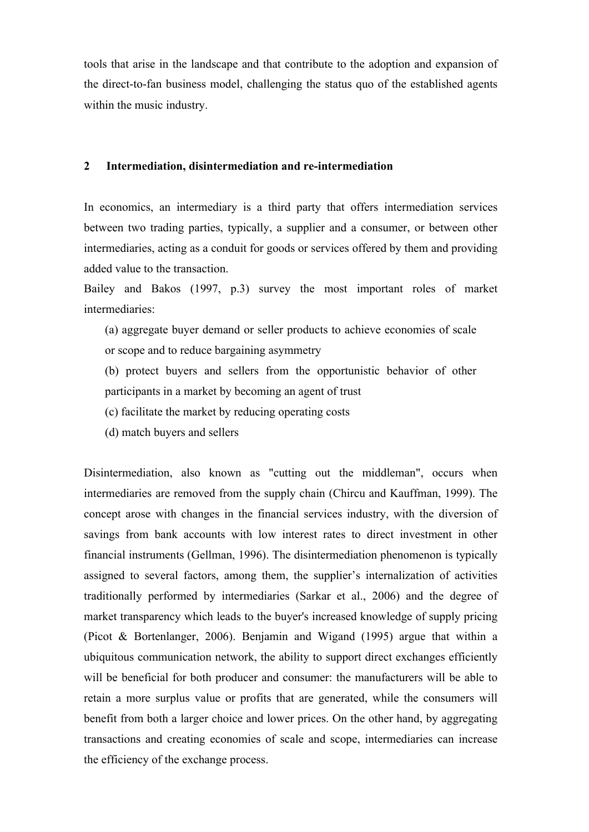tools that arise in the landscape and that contribute to the adoption and expansion of the direct-to-fan business model, challenging the status quo of the established agents within the music industry.

## **2 Intermediation, disintermediation and re-intermediation**

In economics, an intermediary is a third party that offers intermediation services between two trading parties, typically, a supplier and a consumer, or between other intermediaries, acting as a conduit for goods or services offered by them and providing added value to the transaction.

Bailey and Bakos (1997, p.3) survey the most important roles of market intermediaries:

- (a) aggregate buyer demand or seller products to achieve economies of scale or scope and to reduce bargaining asymmetry
- (b) protect buyers and sellers from the opportunistic behavior of other participants in a market by becoming an agent of trust
- (c) facilitate the market by reducing operating costs
- (d) match buyers and sellers

Disintermediation, also known as "cutting out the middleman", occurs when intermediaries are removed from the supply chain (Chircu and Kauffman, 1999). The concept arose with changes in the financial services industry, with the diversion of savings from bank accounts with low interest rates to direct investment in other financial instruments (Gellman, 1996). The disintermediation phenomenon is typically assigned to several factors, among them, the supplier's internalization of activities traditionally performed by intermediaries (Sarkar et al., 2006) and the degree of market transparency which leads to the buyer's increased knowledge of supply pricing (Picot & Bortenlanger, 2006). Benjamin and Wigand (1995) argue that within a ubiquitous communication network, the ability to support direct exchanges efficiently will be beneficial for both producer and consumer: the manufacturers will be able to retain a more surplus value or profits that are generated, while the consumers will benefit from both a larger choice and lower prices. On the other hand, by aggregating transactions and creating economies of scale and scope, intermediaries can increase the efficiency of the exchange process.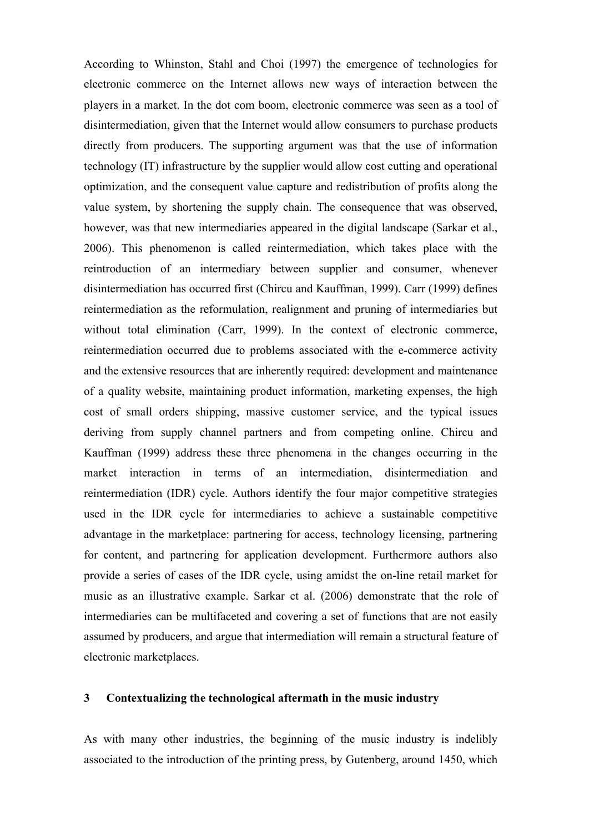According to Whinston, Stahl and Choi (1997) the emergence of technologies for electronic commerce on the Internet allows new ways of interaction between the players in a market. In the dot com boom, electronic commerce was seen as a tool of disintermediation, given that the Internet would allow consumers to purchase products directly from producers. The supporting argument was that the use of information technology (IT) infrastructure by the supplier would allow cost cutting and operational optimization, and the consequent value capture and redistribution of profits along the value system, by shortening the supply chain. The consequence that was observed, however, was that new intermediaries appeared in the digital landscape (Sarkar et al., 2006). This phenomenon is called reintermediation, which takes place with the reintroduction of an intermediary between supplier and consumer, whenever disintermediation has occurred first (Chircu and Kauffman, 1999). Carr (1999) defines reintermediation as the reformulation, realignment and pruning of intermediaries but without total elimination (Carr, 1999). In the context of electronic commerce, reintermediation occurred due to problems associated with the e-commerce activity and the extensive resources that are inherently required: development and maintenance of a quality website, maintaining product information, marketing expenses, the high cost of small orders shipping, massive customer service, and the typical issues deriving from supply channel partners and from competing online. Chircu and Kauffman (1999) address these three phenomena in the changes occurring in the market interaction in terms of an intermediation, disintermediation and reintermediation (IDR) cycle. Authors identify the four major competitive strategies used in the IDR cycle for intermediaries to achieve a sustainable competitive advantage in the marketplace: partnering for access, technology licensing, partnering for content, and partnering for application development. Furthermore authors also provide a series of cases of the IDR cycle, using amidst the on-line retail market for music as an illustrative example. Sarkar et al. (2006) demonstrate that the role of intermediaries can be multifaceted and covering a set of functions that are not easily assumed by producers, and argue that intermediation will remain a structural feature of electronic marketplaces.

# **3 Contextualizing the technological aftermath in the music industry**

As with many other industries, the beginning of the music industry is indelibly associated to the introduction of the printing press, by Gutenberg, around 1450, which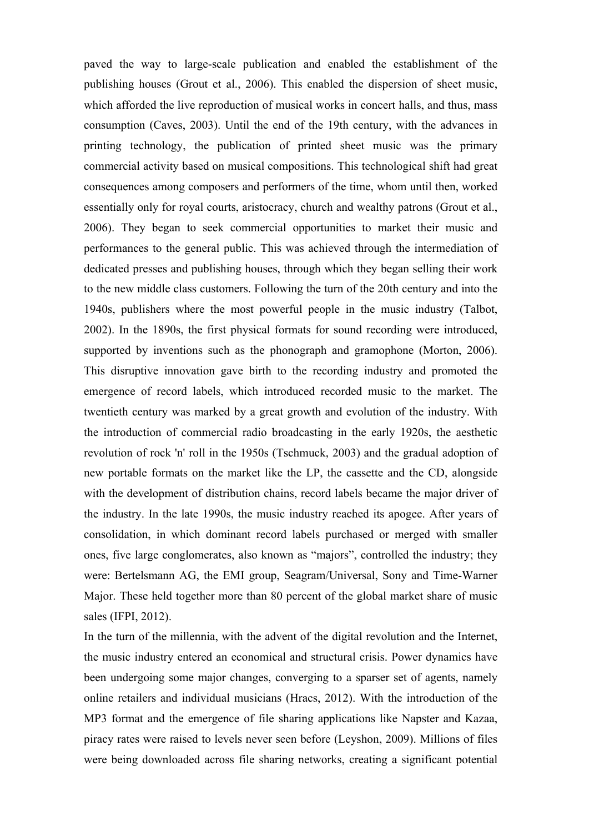paved the way to large-scale publication and enabled the establishment of the publishing houses (Grout et al., 2006). This enabled the dispersion of sheet music, which afforded the live reproduction of musical works in concert halls, and thus, mass consumption (Caves, 2003). Until the end of the 19th century, with the advances in printing technology, the publication of printed sheet music was the primary commercial activity based on musical compositions. This technological shift had great consequences among composers and performers of the time, whom until then, worked essentially only for royal courts, aristocracy, church and wealthy patrons (Grout et al., 2006). They began to seek commercial opportunities to market their music and performances to the general public. This was achieved through the intermediation of dedicated presses and publishing houses, through which they began selling their work to the new middle class customers. Following the turn of the 20th century and into the 1940s, publishers where the most powerful people in the music industry (Talbot, 2002). In the 1890s, the first physical formats for sound recording were introduced, supported by inventions such as the phonograph and gramophone (Morton, 2006). This disruptive innovation gave birth to the recording industry and promoted the emergence of record labels, which introduced recorded music to the market. The twentieth century was marked by a great growth and evolution of the industry. With the introduction of commercial radio broadcasting in the early 1920s, the aesthetic revolution of rock 'n' roll in the 1950s (Tschmuck, 2003) and the gradual adoption of new portable formats on the market like the LP, the cassette and the CD, alongside with the development of distribution chains, record labels became the major driver of the industry. In the late 1990s, the music industry reached its apogee. After years of consolidation, in which dominant record labels purchased or merged with smaller ones, five large conglomerates, also known as "majors", controlled the industry; they were: Bertelsmann AG, the EMI group, Seagram/Universal, Sony and Time-Warner Major. These held together more than 80 percent of the global market share of music sales (IFPI, 2012).

In the turn of the millennia, with the advent of the digital revolution and the Internet, the music industry entered an economical and structural crisis. Power dynamics have been undergoing some major changes, converging to a sparser set of agents, namely online retailers and individual musicians (Hracs, 2012). With the introduction of the MP3 format and the emergence of file sharing applications like Napster and Kazaa, piracy rates were raised to levels never seen before (Leyshon, 2009). Millions of files were being downloaded across file sharing networks, creating a significant potential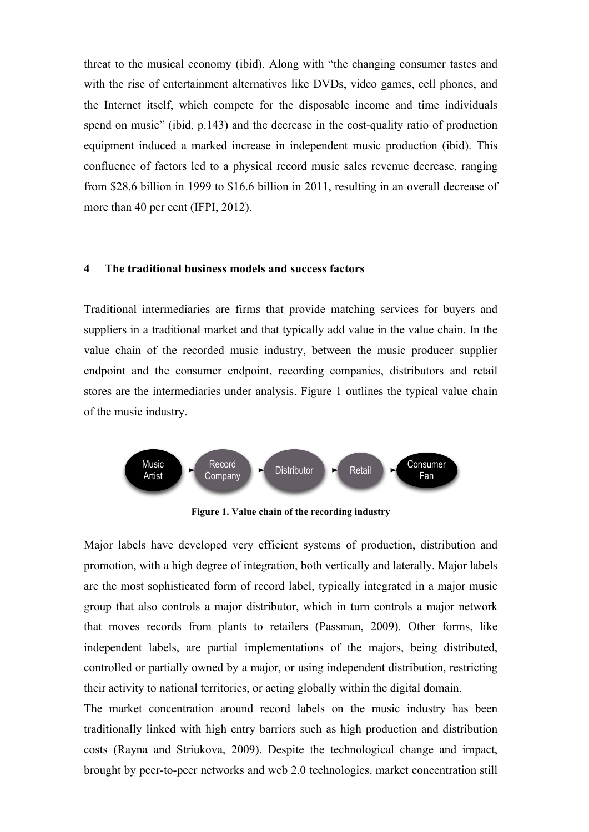threat to the musical economy (ibid). Along with "the changing consumer tastes and with the rise of entertainment alternatives like DVDs, video games, cell phones, and the Internet itself, which compete for the disposable income and time individuals spend on music" (ibid, p.143) and the decrease in the cost-quality ratio of production equipment induced a marked increase in independent music production (ibid). This confluence of factors led to a physical record music sales revenue decrease, ranging from \$28.6 billion in 1999 to \$16.6 billion in 2011, resulting in an overall decrease of more than 40 per cent (IFPI, 2012).

#### **4 The traditional business models and success factors**

Traditional intermediaries are firms that provide matching services for buyers and suppliers in a traditional market and that typically add value in the value chain. In the value chain of the recorded music industry, between the music producer supplier endpoint and the consumer endpoint, recording companies, distributors and retail stores are the intermediaries under analysis. Figure 1 outlines the typical value chain of the music industry.



**Figure 1. Value chain of the recording industry**

Major labels have developed very efficient systems of production, distribution and promotion, with a high degree of integration, both vertically and laterally. Major labels are the most sophisticated form of record label, typically integrated in a major music group that also controls a major distributor, which in turn controls a major network that moves records from plants to retailers (Passman, 2009). Other forms, like independent labels, are partial implementations of the majors, being distributed, controlled or partially owned by a major, or using independent distribution, restricting their activity to national territories, or acting globally within the digital domain.

The market concentration around record labels on the music industry has been traditionally linked with high entry barriers such as high production and distribution costs (Rayna and Striukova, 2009). Despite the technological change and impact, brought by peer-to-peer networks and web 2.0 technologies, market concentration still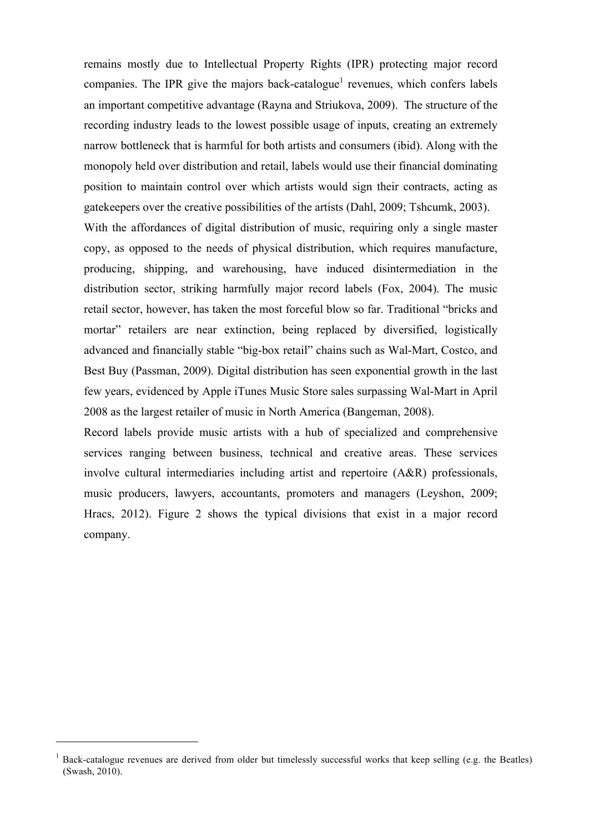remains mostly due to Intellectual Property Rights (IPR) protecting major record companies. The IPR give the majors back-catalogue<sup>1</sup> revenues, which confers labels an important competitive advantage (Rayna and Striukova, 2009). The structure of the recording industry leads to the lowest possible usage of inputs, creating an extremely narrow bottleneck that is harmful for both artists and consumers (ibid). Along with the monopoly held over distribution and retail, labels would use their financial dominating position to maintain control over which artists would sign their contracts, acting as gatekeepers over the creative possibilities of the artists (Dahl, 2009; Tshcumk, 2003). With the affordances of digital distribution of music, requiring only a single master copy, as opposed to the needs of physical distribution, which requires manufacture, producing, shipping, and warehousing, have induced disintermediation in the distribution sector, striking harmfully major record labels (Fox, 2004). The music retail sector, however, has taken the most forceful blow so far. Traditional "bricks and mortar" retailers are near extinction, being replaced by diversified, logistically advanced and financially stable "big-box retail" chains such as Wal-Mart, Costco, and Best Buy (Passman, 2009). Digital distribution has seen exponential growth in the last few years, evidenced by Apple iTunes Music Store sales surpassing Wal-Mart in April

Record labels provide music artists with a hub of specialized and comprehensive services ranging between business, technical and creative areas. These services involve cultural intermediaries including artist and repertoire (A&R) professionals, music producers, lawyers, accountants, promoters and managers (Leyshon, 2009; Hracs, 2012). Figure 2 shows the typical divisions that exist in a major record company.

2008 as the largest retailer of music in North America (Bangeman, 2008).

<sup>&</sup>lt;sup>1</sup> Back-catalogue revenues are derived from older but timelessly successful works that keep selling (e.g. the Beatles) (Swash, 2010).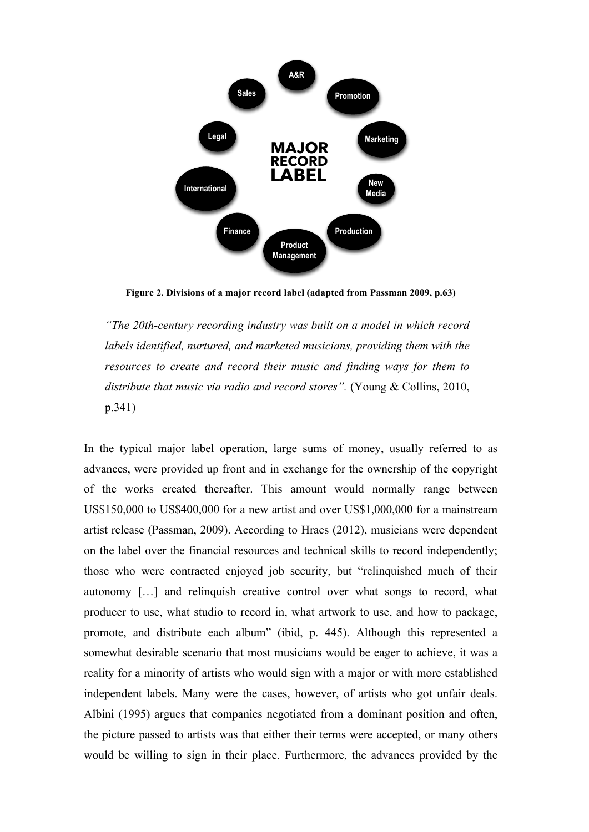

**Figure 2. Divisions of a major record label (adapted from Passman 2009, p.63)**

*"The 20th-century recording industry was built on a model in which record labels identified, nurtured, and marketed musicians, providing them with the resources to create and record their music and finding ways for them to distribute that music via radio and record stores".* (Young & Collins, 2010, p.341)

In the typical major label operation, large sums of money, usually referred to as advances, were provided up front and in exchange for the ownership of the copyright of the works created thereafter. This amount would normally range between US\$150,000 to US\$400,000 for a new artist and over US\$1,000,000 for a mainstream artist release (Passman, 2009). According to Hracs (2012), musicians were dependent on the label over the financial resources and technical skills to record independently; those who were contracted enjoyed job security, but "relinquished much of their autonomy […] and relinquish creative control over what songs to record, what producer to use, what studio to record in, what artwork to use, and how to package, promote, and distribute each album" (ibid, p. 445). Although this represented a somewhat desirable scenario that most musicians would be eager to achieve, it was a reality for a minority of artists who would sign with a major or with more established independent labels. Many were the cases, however, of artists who got unfair deals. Albini (1995) argues that companies negotiated from a dominant position and often, the picture passed to artists was that either their terms were accepted, or many others would be willing to sign in their place. Furthermore, the advances provided by the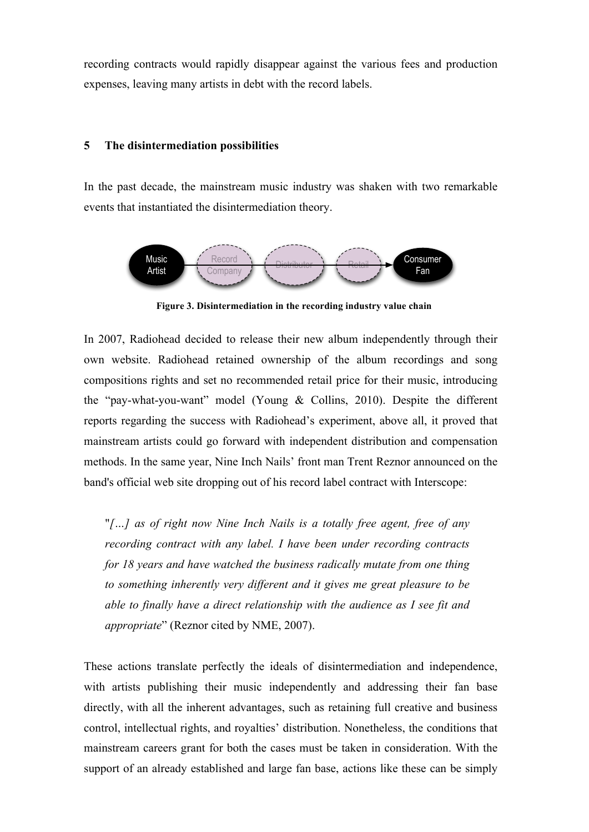recording contracts would rapidly disappear against the various fees and production expenses, leaving many artists in debt with the record labels.

## **5 The disintermediation possibilities**

In the past decade, the mainstream music industry was shaken with two remarkable events that instantiated the disintermediation theory.



**Figure 3. Disintermediation in the recording industry value chain**

In 2007, Radiohead decided to release their new album independently through their own website. Radiohead retained ownership of the album recordings and song compositions rights and set no recommended retail price for their music, introducing the "pay-what-you-want" model (Young & Collins, 2010). Despite the different reports regarding the success with Radiohead's experiment, above all, it proved that mainstream artists could go forward with independent distribution and compensation methods. In the same year, Nine Inch Nails' front man Trent Reznor announced on the band's official web site dropping out of his record label contract with Interscope:

"*[…] as of right now Nine Inch Nails is a totally free agent, free of any recording contract with any label. I have been under recording contracts for 18 years and have watched the business radically mutate from one thing to something inherently very different and it gives me great pleasure to be able to finally have a direct relationship with the audience as I see fit and appropriate*" (Reznor cited by NME, 2007).

These actions translate perfectly the ideals of disintermediation and independence, with artists publishing their music independently and addressing their fan base directly, with all the inherent advantages, such as retaining full creative and business control, intellectual rights, and royalties' distribution. Nonetheless, the conditions that mainstream careers grant for both the cases must be taken in consideration. With the support of an already established and large fan base, actions like these can be simply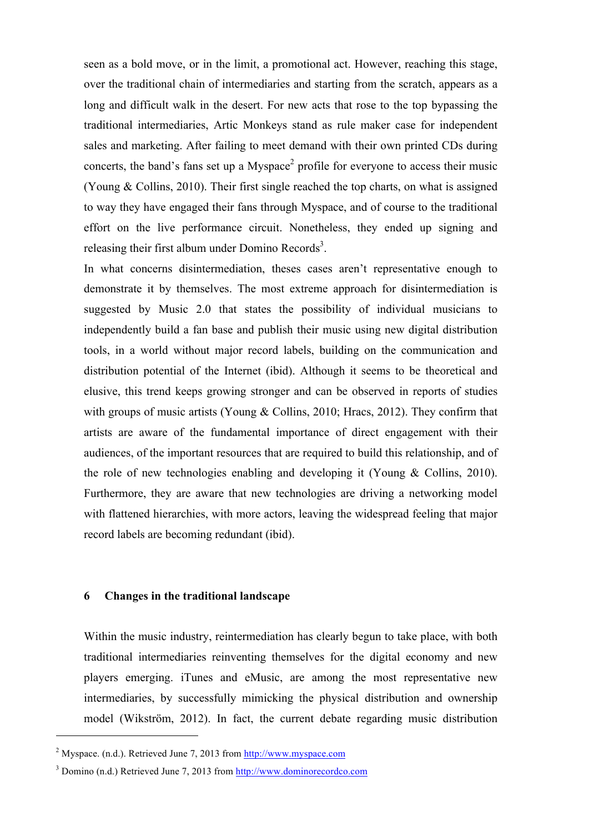seen as a bold move, or in the limit, a promotional act. However, reaching this stage, over the traditional chain of intermediaries and starting from the scratch, appears as a long and difficult walk in the desert. For new acts that rose to the top bypassing the traditional intermediaries, Artic Monkeys stand as rule maker case for independent sales and marketing. After failing to meet demand with their own printed CDs during concerts, the band's fans set up a  $Myspace<sup>2</sup>$  profile for everyone to access their music (Young & Collins, 2010). Their first single reached the top charts, on what is assigned to way they have engaged their fans through Myspace, and of course to the traditional effort on the live performance circuit. Nonetheless, they ended up signing and releasing their first album under Domino Records<sup>3</sup>.

In what concerns disintermediation, theses cases aren't representative enough to demonstrate it by themselves. The most extreme approach for disintermediation is suggested by Music 2.0 that states the possibility of individual musicians to independently build a fan base and publish their music using new digital distribution tools, in a world without major record labels, building on the communication and distribution potential of the Internet (ibid). Although it seems to be theoretical and elusive, this trend keeps growing stronger and can be observed in reports of studies with groups of music artists (Young & Collins, 2010; Hracs, 2012). They confirm that artists are aware of the fundamental importance of direct engagement with their audiences, of the important resources that are required to build this relationship, and of the role of new technologies enabling and developing it (Young & Collins, 2010). Furthermore, they are aware that new technologies are driving a networking model with flattened hierarchies, with more actors, leaving the widespread feeling that major record labels are becoming redundant (ibid).

## **6 Changes in the traditional landscape**

Within the music industry, reintermediation has clearly begun to take place, with both traditional intermediaries reinventing themselves for the digital economy and new players emerging. iTunes and eMusic, are among the most representative new intermediaries, by successfully mimicking the physical distribution and ownership model (Wikström, 2012). In fact, the current debate regarding music distribution

<sup>&</sup>lt;sup>2</sup> Myspace. (n.d.). Retrieved June 7, 2013 from http://www.myspace.com

<sup>&</sup>lt;sup>3</sup> Domino (n.d.) Retrieved June 7, 2013 from http://www.dominorecordco.com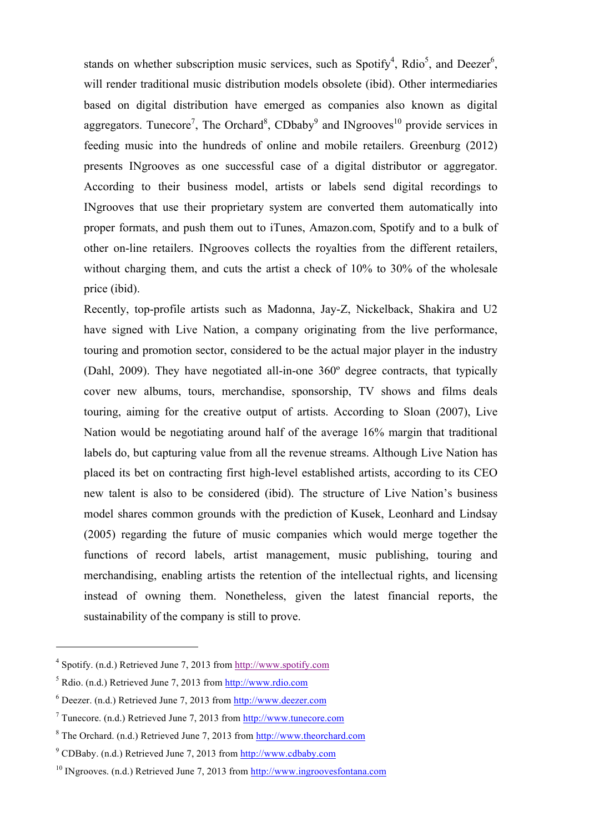stands on whether subscription music services, such as Spotify<sup>4</sup>, Rdio<sup>5</sup>, and Deezer<sup>6</sup>, will render traditional music distribution models obsolete (ibid). Other intermediaries based on digital distribution have emerged as companies also known as digital aggregators. Tunecore<sup>7</sup>, The Orchard<sup>8</sup>, CDbaby<sup>9</sup> and INgrooves<sup>10</sup> provide services in feeding music into the hundreds of online and mobile retailers. Greenburg (2012) presents INgrooves as one successful case of a digital distributor or aggregator. According to their business model, artists or labels send digital recordings to INgrooves that use their proprietary system are converted them automatically into proper formats, and push them out to iTunes, Amazon.com, Spotify and to a bulk of other on-line retailers. INgrooves collects the royalties from the different retailers, without charging them, and cuts the artist a check of 10% to 30% of the wholesale price (ibid).

Recently, top-profile artists such as Madonna, Jay-Z, Nickelback, Shakira and U2 have signed with Live Nation, a company originating from the live performance, touring and promotion sector, considered to be the actual major player in the industry (Dahl, 2009). They have negotiated all-in-one 360º degree contracts, that typically cover new albums, tours, merchandise, sponsorship, TV shows and films deals touring, aiming for the creative output of artists. According to Sloan (2007), Live Nation would be negotiating around half of the average 16% margin that traditional labels do, but capturing value from all the revenue streams. Although Live Nation has placed its bet on contracting first high-level established artists, according to its CEO new talent is also to be considered (ibid). The structure of Live Nation's business model shares common grounds with the prediction of Kusek, Leonhard and Lindsay (2005) regarding the future of music companies which would merge together the functions of record labels, artist management, music publishing, touring and merchandising, enabling artists the retention of the intellectual rights, and licensing instead of owning them. Nonetheless, given the latest financial reports, the sustainability of the company is still to prove.

<sup>4</sup> Spotify. (n.d.) Retrieved June 7, 2013 from http://www.spotify.com

<sup>5</sup> Rdio. (n.d.) Retrieved June 7, 2013 from http://www.rdio.com

 $6$  Deezer. (n.d.) Retrieved June 7, 2013 from http://www.deezer.com

<sup>7</sup> Tunecore. (n.d.) Retrieved June 7, 2013 from http://www.tunecore.com

<sup>8</sup> The Orchard. (n.d.) Retrieved June 7, 2013 from http://www.theorchard.com

 $9^9$  CDBaby. (n.d.) Retrieved June 7, 2013 from http://www.cdbaby.com

 $10$  INgrooves. (n.d.) Retrieved June 7, 2013 from http://www.ingroovesfontana.com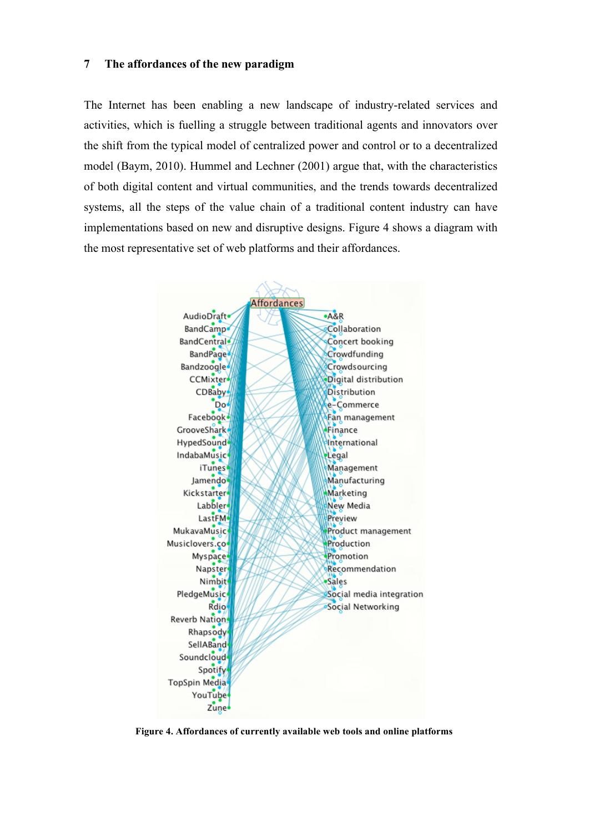## **7 The affordances of the new paradigm**

The Internet has been enabling a new landscape of industry-related services and activities, which is fuelling a struggle between traditional agents and innovators over the shift from the typical model of centralized power and control or to a decentralized model (Baym, 2010). Hummel and Lechner (2001) argue that, with the characteristics of both digital content and virtual communities, and the trends towards decentralized systems, all the steps of the value chain of a traditional content industry can have implementations based on new and disruptive designs. Figure 4 shows a diagram with the most representative set of web platforms and their affordances.

| <b>Affordances</b>     |                          |
|------------------------|--------------------------|
| AudioDraft             | $-A8R$                   |
| BandCamp.              | Collaboration            |
| BandCentral            | Concert booking          |
| <b>BandPage</b>        | Crowdfunding             |
| <b>Bandzoogle</b>      | Crowdsourcing            |
| <b>CCMixter</b>        | Digital distribution     |
| CDBaby                 | <b>Distribution</b>      |
| Do                     | e-Commerce               |
| Facebook <sup>®</sup>  | Fan management           |
| GrooveShark            | Finance                  |
| HypedSound             | International            |
| IndabaMusic            | Legal                    |
| iTunes <sup>®</sup>    | Management               |
| Jamendo <sup>®</sup>   | Manufacturing            |
| <b>Kickstarter</b>     | Marketing                |
| Labbler                | New Media                |
| LastFM-                | Preview                  |
| <b>MukavaMusic</b>     | Product management       |
| Musiclovers.co4        | Production               |
| Myspace                | Promotion                |
| Napster                | Recommendation           |
| Nimbit <sup>1</sup>    | ·Sales                   |
| PledgeMusic            | Social media integration |
| Rdio                   | Social Networking        |
| Reverb Nation          |                          |
| Rhapsody               |                          |
| SellABand <sup>®</sup> |                          |
| Soundcloud-            |                          |
| Spotify                |                          |
| TopSpin Media          |                          |
| YouTube                |                          |
| Zune <sup>+</sup>      |                          |

**Figure 4. Affordances of currently available web tools and online platforms**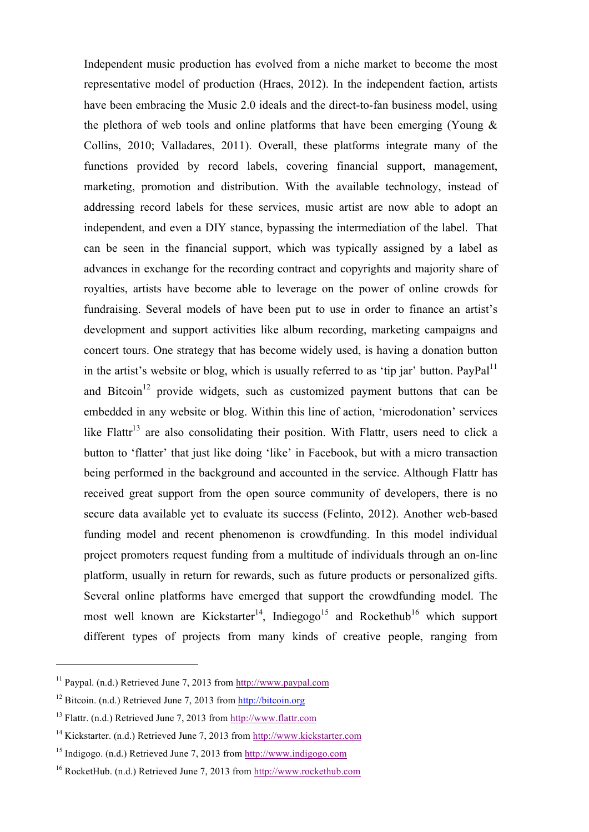Independent music production has evolved from a niche market to become the most representative model of production (Hracs, 2012). In the independent faction, artists have been embracing the Music 2.0 ideals and the direct-to-fan business model, using the plethora of web tools and online platforms that have been emerging (Young  $\&$ Collins, 2010; Valladares, 2011). Overall, these platforms integrate many of the functions provided by record labels, covering financial support, management, marketing, promotion and distribution. With the available technology, instead of addressing record labels for these services, music artist are now able to adopt an independent, and even a DIY stance, bypassing the intermediation of the label. That can be seen in the financial support, which was typically assigned by a label as advances in exchange for the recording contract and copyrights and majority share of royalties, artists have become able to leverage on the power of online crowds for fundraising. Several models of have been put to use in order to finance an artist's development and support activities like album recording, marketing campaigns and concert tours. One strategy that has become widely used, is having a donation button in the artist's website or blog, which is usually referred to as 'tip jar' button. PayPal<sup>11</sup> and Bitcoin<sup>12</sup> provide widgets, such as customized payment buttons that can be embedded in any website or blog. Within this line of action, 'microdonation' services like Flattr<sup>13</sup> are also consolidating their position. With Flattr, users need to click a button to 'flatter' that just like doing 'like' in Facebook, but with a micro transaction being performed in the background and accounted in the service. Although Flattr has received great support from the open source community of developers, there is no secure data available yet to evaluate its success (Felinto, 2012). Another web-based funding model and recent phenomenon is crowdfunding. In this model individual project promoters request funding from a multitude of individuals through an on-line platform, usually in return for rewards, such as future products or personalized gifts. Several online platforms have emerged that support the crowdfunding model. The most well known are Kickstarter<sup>14</sup>, Indiegogo<sup>15</sup> and Rockethub<sup>16</sup> which support different types of projects from many kinds of creative people, ranging from

 $11$  Paypal. (n.d.) Retrieved June 7, 2013 from http://www.paypal.com

<sup>&</sup>lt;sup>12</sup> Bitcoin. (n.d.) Retrieved June 7, 2013 from http://bitcoin.org

<sup>13</sup> Flattr. (n.d.) Retrieved June 7, 2013 from http://www.flattr.com

<sup>14</sup> Kickstarter. (n.d.) Retrieved June 7, 2013 from http://www.kickstarter.com

<sup>15</sup> Indigogo. (n.d.) Retrieved June 7, 2013 from http://www.indigogo.com

<sup>16</sup> RocketHub. (n.d.) Retrieved June 7, 2013 from http://www.rockethub.com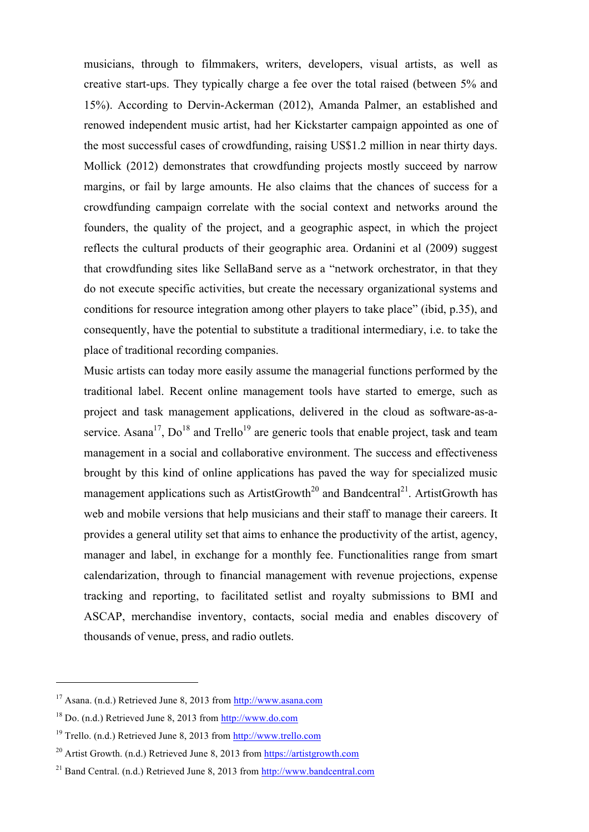musicians, through to filmmakers, writers, developers, visual artists, as well as creative start-ups. They typically charge a fee over the total raised (between 5% and 15%). According to Dervin-Ackerman (2012), Amanda Palmer, an established and renowed independent music artist, had her Kickstarter campaign appointed as one of the most successful cases of crowdfunding, raising US\$1.2 million in near thirty days. Mollick (2012) demonstrates that crowdfunding projects mostly succeed by narrow margins, or fail by large amounts. He also claims that the chances of success for a crowdfunding campaign correlate with the social context and networks around the founders, the quality of the project, and a geographic aspect, in which the project reflects the cultural products of their geographic area. Ordanini et al (2009) suggest that crowdfunding sites like SellaBand serve as a "network orchestrator, in that they do not execute specific activities, but create the necessary organizational systems and conditions for resource integration among other players to take place" (ibid, p.35), and consequently, have the potential to substitute a traditional intermediary, i.e. to take the place of traditional recording companies.

Music artists can today more easily assume the managerial functions performed by the traditional label. Recent online management tools have started to emerge, such as project and task management applications, delivered in the cloud as software-as-aservice. Asana<sup>17</sup>,  $Do^{18}$  and Trello<sup>19</sup> are generic tools that enable project, task and team management in a social and collaborative environment. The success and effectiveness brought by this kind of online applications has paved the way for specialized music management applications such as ArtistGrowth<sup>20</sup> and Bandcentral<sup>21</sup>. ArtistGrowth has web and mobile versions that help musicians and their staff to manage their careers. It provides a general utility set that aims to enhance the productivity of the artist, agency, manager and label, in exchange for a monthly fee. Functionalities range from smart calendarization, through to financial management with revenue projections, expense tracking and reporting, to facilitated setlist and royalty submissions to BMI and ASCAP, merchandise inventory, contacts, social media and enables discovery of thousands of venue, press, and radio outlets.

<sup>17</sup> Asana. (n.d.) Retrieved June 8, 2013 from http://www.asana.com

<sup>18</sup> Do. (n.d.) Retrieved June 8, 2013 from http://www.do.com

<sup>19</sup> Trello. (n.d.) Retrieved June 8, 2013 from http://www.trello.com

<sup>&</sup>lt;sup>20</sup> Artist Growth. (n.d.) Retrieved June 8, 2013 from https://artistgrowth.com

 $^{21}$  Band Central. (n.d.) Retrieved June 8, 2013 from http://www.bandcentral.com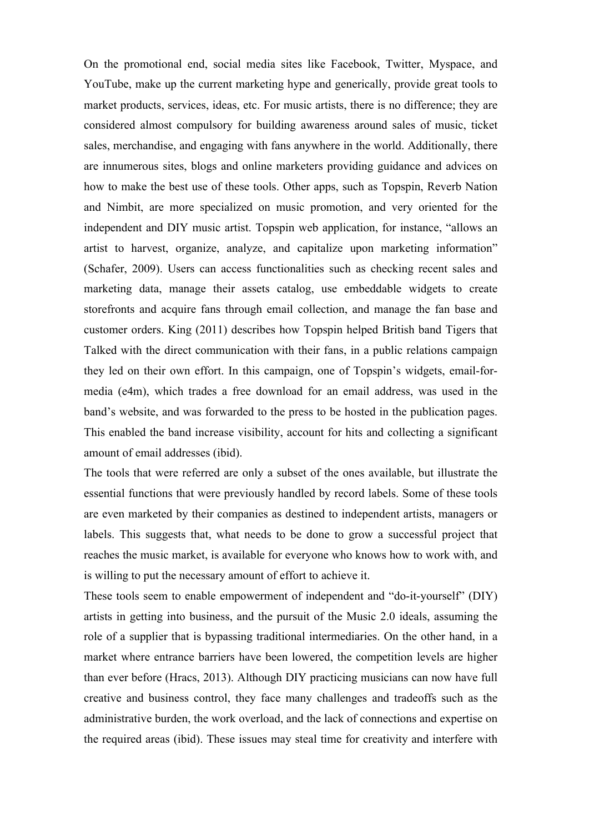On the promotional end, social media sites like Facebook, Twitter, Myspace, and YouTube, make up the current marketing hype and generically, provide great tools to market products, services, ideas, etc. For music artists, there is no difference; they are considered almost compulsory for building awareness around sales of music, ticket sales, merchandise, and engaging with fans anywhere in the world. Additionally, there are innumerous sites, blogs and online marketers providing guidance and advices on how to make the best use of these tools. Other apps, such as Topspin, Reverb Nation and Nimbit, are more specialized on music promotion, and very oriented for the independent and DIY music artist. Topspin web application, for instance, "allows an artist to harvest, organize, analyze, and capitalize upon marketing information" (Schafer, 2009). Users can access functionalities such as checking recent sales and marketing data, manage their assets catalog, use embeddable widgets to create storefronts and acquire fans through email collection, and manage the fan base and customer orders. King (2011) describes how Topspin helped British band Tigers that Talked with the direct communication with their fans, in a public relations campaign they led on their own effort. In this campaign, one of Topspin's widgets, email-formedia (e4m), which trades a free download for an email address, was used in the band's website, and was forwarded to the press to be hosted in the publication pages. This enabled the band increase visibility, account for hits and collecting a significant amount of email addresses (ibid).

The tools that were referred are only a subset of the ones available, but illustrate the essential functions that were previously handled by record labels. Some of these tools are even marketed by their companies as destined to independent artists, managers or labels. This suggests that, what needs to be done to grow a successful project that reaches the music market, is available for everyone who knows how to work with, and is willing to put the necessary amount of effort to achieve it.

These tools seem to enable empowerment of independent and "do-it-yourself" (DIY) artists in getting into business, and the pursuit of the Music 2.0 ideals, assuming the role of a supplier that is bypassing traditional intermediaries. On the other hand, in a market where entrance barriers have been lowered, the competition levels are higher than ever before (Hracs, 2013). Although DIY practicing musicians can now have full creative and business control, they face many challenges and tradeoffs such as the administrative burden, the work overload, and the lack of connections and expertise on the required areas (ibid). These issues may steal time for creativity and interfere with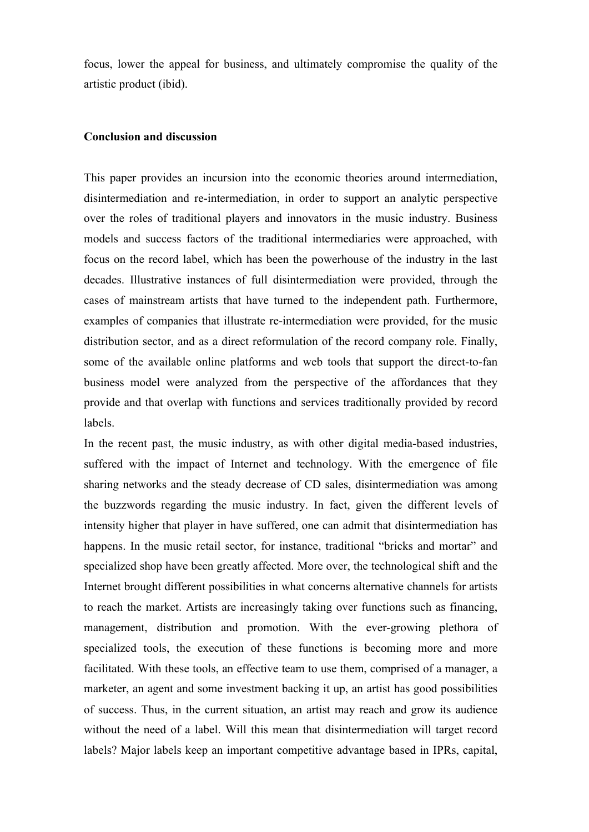focus, lower the appeal for business, and ultimately compromise the quality of the artistic product (ibid).

# **Conclusion and discussion**

This paper provides an incursion into the economic theories around intermediation, disintermediation and re-intermediation, in order to support an analytic perspective over the roles of traditional players and innovators in the music industry. Business models and success factors of the traditional intermediaries were approached, with focus on the record label, which has been the powerhouse of the industry in the last decades. Illustrative instances of full disintermediation were provided, through the cases of mainstream artists that have turned to the independent path. Furthermore, examples of companies that illustrate re-intermediation were provided, for the music distribution sector, and as a direct reformulation of the record company role. Finally, some of the available online platforms and web tools that support the direct-to-fan business model were analyzed from the perspective of the affordances that they provide and that overlap with functions and services traditionally provided by record labels.

In the recent past, the music industry, as with other digital media-based industries, suffered with the impact of Internet and technology. With the emergence of file sharing networks and the steady decrease of CD sales, disintermediation was among the buzzwords regarding the music industry. In fact, given the different levels of intensity higher that player in have suffered, one can admit that disintermediation has happens. In the music retail sector, for instance, traditional "bricks and mortar" and specialized shop have been greatly affected. More over, the technological shift and the Internet brought different possibilities in what concerns alternative channels for artists to reach the market. Artists are increasingly taking over functions such as financing, management, distribution and promotion. With the ever-growing plethora of specialized tools, the execution of these functions is becoming more and more facilitated. With these tools, an effective team to use them, comprised of a manager, a marketer, an agent and some investment backing it up, an artist has good possibilities of success. Thus, in the current situation, an artist may reach and grow its audience without the need of a label. Will this mean that disintermediation will target record labels? Major labels keep an important competitive advantage based in IPRs, capital,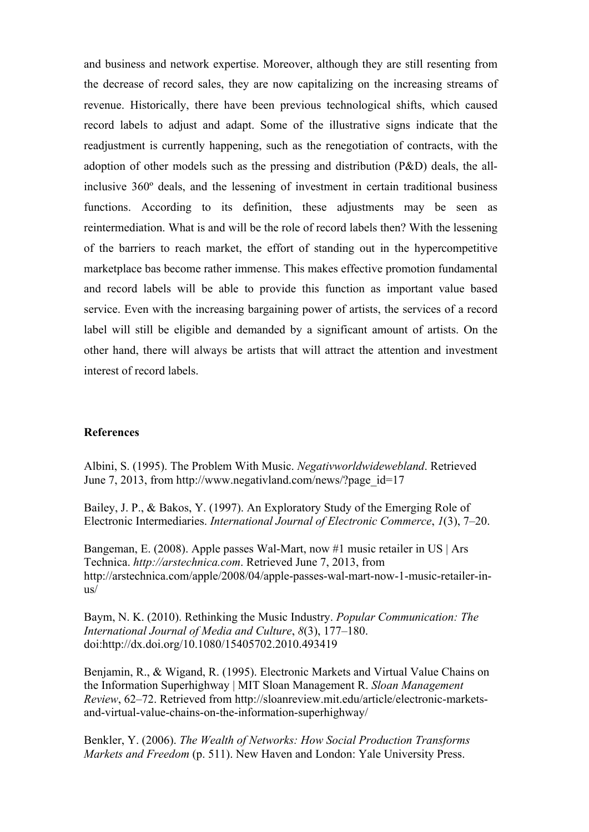and business and network expertise. Moreover, although they are still resenting from the decrease of record sales, they are now capitalizing on the increasing streams of revenue. Historically, there have been previous technological shifts, which caused record labels to adjust and adapt. Some of the illustrative signs indicate that the readjustment is currently happening, such as the renegotiation of contracts, with the adoption of other models such as the pressing and distribution (P&D) deals, the allinclusive 360º deals, and the lessening of investment in certain traditional business functions. According to its definition, these adjustments may be seen as reintermediation. What is and will be the role of record labels then? With the lessening of the barriers to reach market, the effort of standing out in the hypercompetitive marketplace bas become rather immense. This makes effective promotion fundamental and record labels will be able to provide this function as important value based service. Even with the increasing bargaining power of artists, the services of a record label will still be eligible and demanded by a significant amount of artists. On the other hand, there will always be artists that will attract the attention and investment interest of record labels.

#### **References**

Albini, S. (1995). The Problem With Music. *Negativworldwidewebland*. Retrieved June 7, 2013, from http://www.negativland.com/news/?page\_id=17

Bailey, J. P., & Bakos, Y. (1997). An Exploratory Study of the Emerging Role of Electronic Intermediaries. *International Journal of Electronic Commerce*, *1*(3), 7–20.

Bangeman, E. (2008). Apple passes Wal-Mart, now #1 music retailer in US | Ars Technica. *http://arstechnica.com*. Retrieved June 7, 2013, from http://arstechnica.com/apple/2008/04/apple-passes-wal-mart-now-1-music-retailer-inus/

Baym, N. K. (2010). Rethinking the Music Industry. *Popular Communication: The International Journal of Media and Culture*, *8*(3), 177–180. doi:http://dx.doi.org/10.1080/15405702.2010.493419

Benjamin, R., & Wigand, R. (1995). Electronic Markets and Virtual Value Chains on the Information Superhighway | MIT Sloan Management R. *Sloan Management Review*, 62–72. Retrieved from http://sloanreview.mit.edu/article/electronic-marketsand-virtual-value-chains-on-the-information-superhighway/

Benkler, Y. (2006). *The Wealth of Networks: How Social Production Transforms Markets and Freedom* (p. 511). New Haven and London: Yale University Press.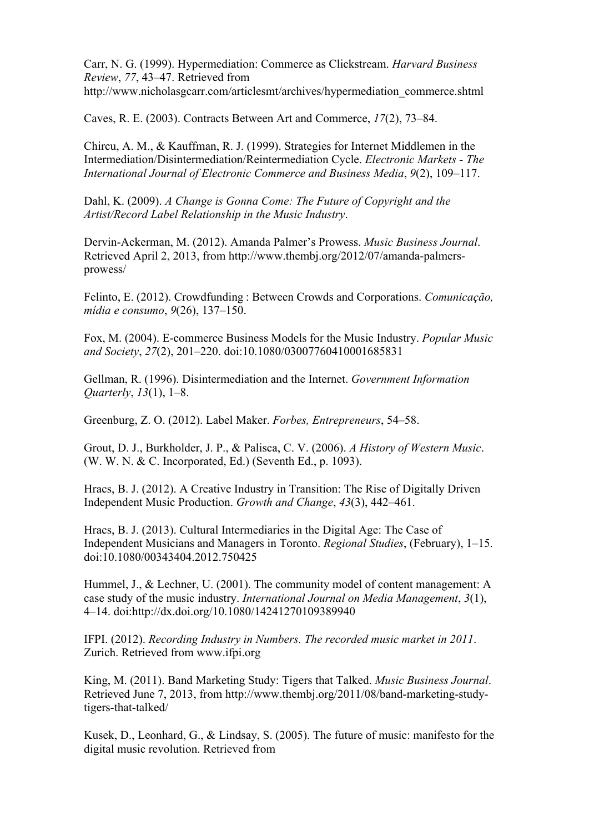Carr, N. G. (1999). Hypermediation: Commerce as Clickstream. *Harvard Business Review*, *77*, 43–47. Retrieved from http://www.nicholasgcarr.com/articlesmt/archives/hypermediation\_commerce.shtml

Caves, R. E. (2003). Contracts Between Art and Commerce, *17*(2), 73–84.

Chircu, A. M., & Kauffman, R. J. (1999). Strategies for Internet Middlemen in the Intermediation/Disintermediation/Reintermediation Cycle. *Electronic Markets - The International Journal of Electronic Commerce and Business Media*, *9*(2), 109–117.

Dahl, K. (2009). *A Change is Gonna Come: The Future of Copyright and the Artist/Record Label Relationship in the Music Industry*.

Dervin-Ackerman, M. (2012). Amanda Palmer's Prowess. *Music Business Journal*. Retrieved April 2, 2013, from http://www.thembj.org/2012/07/amanda-palmersprowess/

Felinto, E. (2012). Crowdfunding : Between Crowds and Corporations. *Comunicação, mídia e consumo*, *9*(26), 137–150.

Fox, M. (2004). E-commerce Business Models for the Music Industry. *Popular Music and Society*, *27*(2), 201–220. doi:10.1080/03007760410001685831

Gellman, R. (1996). Disintermediation and the Internet. *Government Information Quarterly*, *13*(1), 1–8.

Greenburg, Z. O. (2012). Label Maker. *Forbes, Entrepreneurs*, 54–58.

Grout, D. J., Burkholder, J. P., & Palisca, C. V. (2006). *A History of Western Music*. (W. W. N. & C. Incorporated, Ed.) (Seventh Ed., p. 1093).

Hracs, B. J. (2012). A Creative Industry in Transition: The Rise of Digitally Driven Independent Music Production. *Growth and Change*, *43*(3), 442–461.

Hracs, B. J. (2013). Cultural Intermediaries in the Digital Age: The Case of Independent Musicians and Managers in Toronto. *Regional Studies*, (February), 1–15. doi:10.1080/00343404.2012.750425

Hummel, J., & Lechner, U. (2001). The community model of content management: A case study of the music industry. *International Journal on Media Management*, *3*(1), 4–14. doi:http://dx.doi.org/10.1080/14241270109389940

IFPI. (2012). *Recording Industry in Numbers. The recorded music market in 2011*. Zurich. Retrieved from www.ifpi.org

King, M. (2011). Band Marketing Study: Tigers that Talked. *Music Business Journal*. Retrieved June 7, 2013, from http://www.thembj.org/2011/08/band-marketing-studytigers-that-talked/

Kusek, D., Leonhard, G., & Lindsay, S. (2005). The future of music: manifesto for the digital music revolution. Retrieved from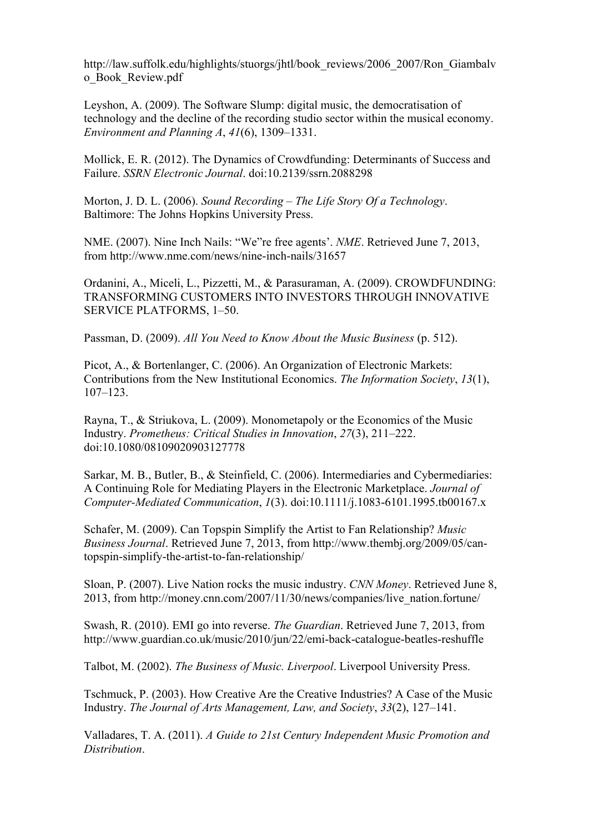http://law.suffolk.edu/highlights/stuorgs/jhtl/book\_reviews/2006\_2007/Ron\_Giambalv o\_Book\_Review.pdf

Leyshon, A. (2009). The Software Slump: digital music, the democratisation of technology and the decline of the recording studio sector within the musical economy. *Environment and Planning A*, *41*(6), 1309–1331.

Mollick, E. R. (2012). The Dynamics of Crowdfunding: Determinants of Success and Failure. *SSRN Electronic Journal*. doi:10.2139/ssrn.2088298

Morton, J. D. L. (2006). *Sound Recording – The Life Story Of a Technology*. Baltimore: The Johns Hopkins University Press.

NME. (2007). Nine Inch Nails: "We"re free agents'. *NME*. Retrieved June 7, 2013, from http://www.nme.com/news/nine-inch-nails/31657

Ordanini, A., Miceli, L., Pizzetti, M., & Parasuraman, A. (2009). CROWDFUNDING: TRANSFORMING CUSTOMERS INTO INVESTORS THROUGH INNOVATIVE SERVICE PLATFORMS, 1–50.

Passman, D. (2009). *All You Need to Know About the Music Business* (p. 512).

Picot, A., & Bortenlanger, C. (2006). An Organization of Electronic Markets: Contributions from the New Institutional Economics. *The Information Society*, *13*(1), 107–123.

Rayna, T., & Striukova, L. (2009). Monometapoly or the Economics of the Music Industry. *Prometheus: Critical Studies in Innovation*, *27*(3), 211–222. doi:10.1080/08109020903127778

Sarkar, M. B., Butler, B., & Steinfield, C. (2006). Intermediaries and Cybermediaries: A Continuing Role for Mediating Players in the Electronic Marketplace. *Journal of Computer-Mediated Communication*, *1*(3). doi:10.1111/j.1083-6101.1995.tb00167.x

Schafer, M. (2009). Can Topspin Simplify the Artist to Fan Relationship? *Music Business Journal*. Retrieved June 7, 2013, from http://www.thembj.org/2009/05/cantopspin-simplify-the-artist-to-fan-relationship/

Sloan, P. (2007). Live Nation rocks the music industry. *CNN Money*. Retrieved June 8, 2013, from http://money.cnn.com/2007/11/30/news/companies/live\_nation.fortune/

Swash, R. (2010). EMI go into reverse. *The Guardian*. Retrieved June 7, 2013, from http://www.guardian.co.uk/music/2010/jun/22/emi-back-catalogue-beatles-reshuffle

Talbot, M. (2002). *The Business of Music. Liverpool*. Liverpool University Press.

Tschmuck, P. (2003). How Creative Are the Creative Industries? A Case of the Music Industry. *The Journal of Arts Management, Law, and Society*, *33*(2), 127–141.

Valladares, T. A. (2011). *A Guide to 21st Century Independent Music Promotion and Distribution*.